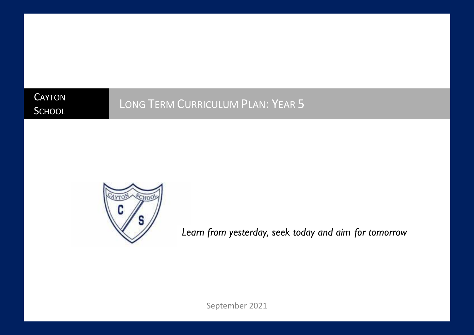**CAYTON SCHOOL** 

# LONG TERM CURRICULUM PLAN: YEAR 5



*Learn from yesterday, seek today and aim for tomorrow*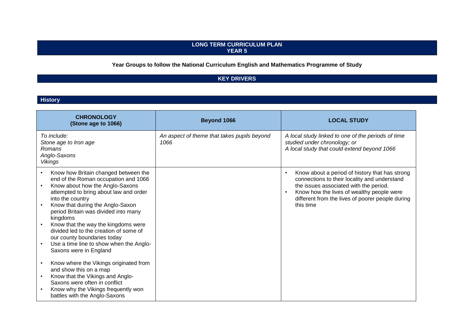#### **LONG TERM CURRICULUM PLAN YEAR 5**

# **Year Groups to follow the National Curriculum English and Mathematics Programme of Study**

# **KEY DRIVERS**

#### **History**

| <b>CHRONOLOGY</b><br>(Stone age to 1066)                                                                                                                                                                                                                                                                                                                                                                                                                   | Beyond 1066                                         | <b>LOCAL STUDY</b>                                                                                                                                                                                                                                     |
|------------------------------------------------------------------------------------------------------------------------------------------------------------------------------------------------------------------------------------------------------------------------------------------------------------------------------------------------------------------------------------------------------------------------------------------------------------|-----------------------------------------------------|--------------------------------------------------------------------------------------------------------------------------------------------------------------------------------------------------------------------------------------------------------|
| To include:<br>Stone age to Iron age<br>Romans<br>Anglo-Saxons<br>Vikings                                                                                                                                                                                                                                                                                                                                                                                  | An aspect of theme that takes pupils beyond<br>1066 | A local study linked to one of the periods of time<br>studied under chronology; or<br>A local study that could extend beyond 1066                                                                                                                      |
| Know how Britain changed between the<br>end of the Roman occupation and 1066<br>Know about how the Anglo-Saxons<br>attempted to bring about law and order<br>into the country<br>Know that during the Anglo-Saxon<br>period Britain was divided into many<br>kingdoms<br>Know that the way the kingdoms were<br>divided led to the creation of some of<br>our county boundaries today<br>Use a time line to show when the Anglo-<br>Saxons were in England |                                                     | Know about a period of history that has strong<br>connections to their locality and understand<br>the issues associated with the period.<br>Know how the lives of wealthy people were<br>different from the lives of poorer people during<br>this time |
| Know where the Vikings originated from<br>and show this on a map<br>Know that the Vikings and Anglo-<br>Saxons were often in conflict<br>Know why the Vikings frequently won<br>battles with the Anglo-Saxons                                                                                                                                                                                                                                              |                                                     |                                                                                                                                                                                                                                                        |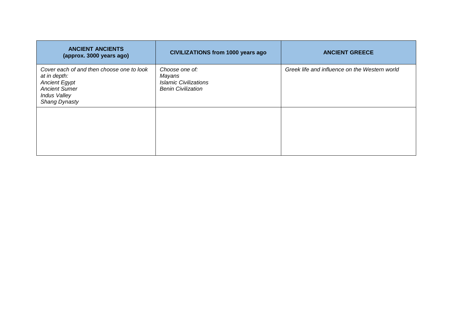| <b>ANCIENT ANCIENTS</b><br>(approx. 3000 years ago)                                                                                                      | <b>CIVILIZATIONS from 1000 years ago</b>                                              | <b>ANCIENT GREECE</b>                         |
|----------------------------------------------------------------------------------------------------------------------------------------------------------|---------------------------------------------------------------------------------------|-----------------------------------------------|
| Cover each of and then choose one to look<br>at in depth:<br><b>Ancient Egypt</b><br><b>Ancient Sumer</b><br><b>Indus Valley</b><br><b>Shang Dynasty</b> | Choose one of:<br>Mayans<br><b>Islamic Civilizations</b><br><b>Benin Civilization</b> | Greek life and influence on the Western world |
|                                                                                                                                                          |                                                                                       |                                               |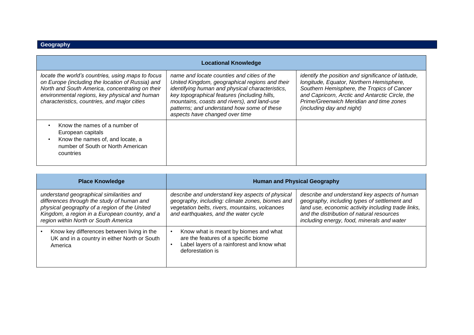| <b>Locational Knowledge</b>                                                                                                                                                                                                                               |                                                                                                                                                                                                                                                                                                                                |                                                                                                                                                                                                                                                                          |  |
|-----------------------------------------------------------------------------------------------------------------------------------------------------------------------------------------------------------------------------------------------------------|--------------------------------------------------------------------------------------------------------------------------------------------------------------------------------------------------------------------------------------------------------------------------------------------------------------------------------|--------------------------------------------------------------------------------------------------------------------------------------------------------------------------------------------------------------------------------------------------------------------------|--|
| locate the world's countries, using maps to focus<br>on Europe (including the location of Russia) and<br>North and South America, concentrating on their<br>environmental regions, key physical and human<br>characteristics, countries, and major cities | name and locate counties and cities of the<br>United Kingdom, geographical regions and their<br>identifying human and physical characteristics,<br>key topographical features (including hills,<br>mountains, coasts and rivers), and land-use<br>patterns; and understand how some of these<br>aspects have changed over time | identify the position and significance of latitude,<br>longitude, Equator, Northern Hemisphere,<br>Southern Hemisphere, the Tropics of Cancer<br>and Capricorn, Arctic and Antarctic Circle, the<br>Prime/Greenwich Meridian and time zones<br>(including day and night) |  |
| Know the names of a number of<br>European capitals<br>Know the names of, and locate, a<br>number of South or North American<br>countries                                                                                                                  |                                                                                                                                                                                                                                                                                                                                |                                                                                                                                                                                                                                                                          |  |

| <b>Place Knowledge</b>                                                                                                                                                                                                           | <b>Human and Physical Geography</b>                                                                                                                                                          |                                                                                                                                                                                                                                               |
|----------------------------------------------------------------------------------------------------------------------------------------------------------------------------------------------------------------------------------|----------------------------------------------------------------------------------------------------------------------------------------------------------------------------------------------|-----------------------------------------------------------------------------------------------------------------------------------------------------------------------------------------------------------------------------------------------|
| understand geographical similarities and<br>differences through the study of human and<br>physical geography of a region of the United<br>Kingdom, a region in a European country, and a<br>region within North or South America | describe and understand key aspects of physical<br>geography, including: climate zones, biomes and<br>vegetation belts, rivers, mountains, volcanoes<br>and earthquakes, and the water cycle | describe and understand key aspects of human<br>geography, including types of settlement and<br>land use, economic activity including trade links,<br>and the distribution of natural resources<br>including energy, food, minerals and water |
| Know key differences between living in the<br>UK and in a country in either North or South<br>America                                                                                                                            | Know what is meant by biomes and what<br>are the features of a specific biome<br>Label layers of a rainforest and know what<br>deforestation is                                              |                                                                                                                                                                                                                                               |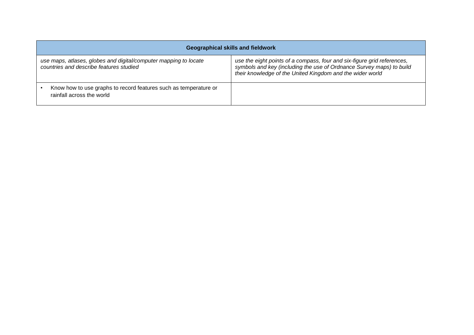| <b>Geographical skills and fieldwork</b>                                                                    |                                                                                                                                                                                                              |  |  |
|-------------------------------------------------------------------------------------------------------------|--------------------------------------------------------------------------------------------------------------------------------------------------------------------------------------------------------------|--|--|
| use maps, atlases, globes and digital/computer mapping to locate<br>countries and describe features studied | use the eight points of a compass, four and six-figure grid references,<br>symbols and key (including the use of Ordnance Survey maps) to build<br>their knowledge of the United Kingdom and the wider world |  |  |
| Know how to use graphs to record features such as temperature or<br>rainfall across the world               |                                                                                                                                                                                                              |  |  |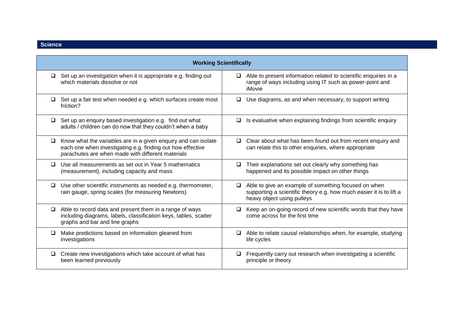|        | <b>Working Scientifically</b>                                                                                                                                                     |                                                                                                                                                                     |  |  |
|--------|-----------------------------------------------------------------------------------------------------------------------------------------------------------------------------------|---------------------------------------------------------------------------------------------------------------------------------------------------------------------|--|--|
| $\Box$ | Set up an investigation when it is appropriate e.g. finding out<br>which materials dissolve or not                                                                                | Able to present information related to scientific enquiries in a<br>◘<br>range of ways including using IT such as power-point and<br>iMovie                         |  |  |
| $\Box$ | Set up a fair test when needed e.g. which surfaces create most<br>friction?                                                                                                       | Use diagrams, as and when necessary, to support writing<br>□                                                                                                        |  |  |
| $\Box$ | Set up an enquiry based investigation e.g. find out what<br>adults / children can do now that they couldn't when a baby                                                           | Is evaluative when explaining findings from scientific enquiry<br>□                                                                                                 |  |  |
| $\Box$ | Know what the variables are in a given enquiry and can isolate<br>each one when investigating e.g. finding out how effective<br>parachutes are when made with different materials | Clear about what has been found out from recent enquiry and<br>$\Box$<br>can relate this to other enquiries, where appropriate                                      |  |  |
| □      | Use all measurements as set out in Year 5 mathematics<br>(measurement), including capacity and mass                                                                               | Their explanations set out clearly why something has<br>⊔<br>happened and its possible impact on other things                                                       |  |  |
| $\Box$ | Use other scientific instruments as needed e.g. thermometer,<br>rain gauge, spring scales (for measuring Newtons)                                                                 | Able to give an example of something focused on when<br>$\Box$<br>supporting a scientific theory e.g. how much easier it is to lift a<br>heavy object using pulleys |  |  |
| $\Box$ | Able to record data and present them in a range of ways<br>including diagrams, labels, classification keys, tables, scatter<br>graphs and bar and line graphs                     | Keep an on-going record of new scientific words that they have<br>$\Box$<br>come across for the first time                                                          |  |  |
| ❏      | Make predictions based on information gleaned from<br>investigations                                                                                                              | Able to relate causal relationships when, for example, studying<br>u.<br>life cycles                                                                                |  |  |
| □      | Create new investigations which take account of what has<br>been learned previously                                                                                               | Frequently carry out research when investigating a scientific<br>◘<br>principle or theory                                                                           |  |  |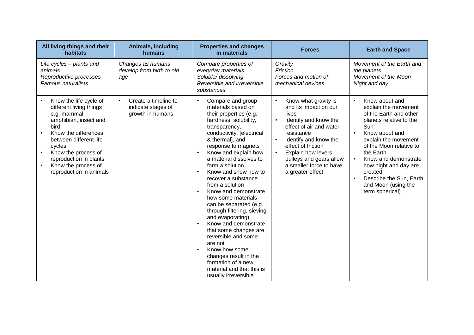| All living things and their<br>habitats                                                                                                                                                                                                                           | Animals, including<br>humans                                                | <b>Properties and changes</b><br>in materials                                                                                                                                                                                                                                                                                                                                                                                                                                                                                                                                                                                                                                          | <b>Forces</b>                                                                                                                                                                                                                                                                                                                | <b>Earth and Space</b>                                                                                                                                                                                                                                                                                                                                       |
|-------------------------------------------------------------------------------------------------------------------------------------------------------------------------------------------------------------------------------------------------------------------|-----------------------------------------------------------------------------|----------------------------------------------------------------------------------------------------------------------------------------------------------------------------------------------------------------------------------------------------------------------------------------------------------------------------------------------------------------------------------------------------------------------------------------------------------------------------------------------------------------------------------------------------------------------------------------------------------------------------------------------------------------------------------------|------------------------------------------------------------------------------------------------------------------------------------------------------------------------------------------------------------------------------------------------------------------------------------------------------------------------------|--------------------------------------------------------------------------------------------------------------------------------------------------------------------------------------------------------------------------------------------------------------------------------------------------------------------------------------------------------------|
| Life cycles - plants and<br>animals<br>Reproductive processes<br><b>Famous naturalists</b>                                                                                                                                                                        | Changes as humans<br>develop from birth to old<br>age                       | Compare properties of<br>everyday materials<br>Soluble/ dissolving<br>Reversible and irreversible<br>substances                                                                                                                                                                                                                                                                                                                                                                                                                                                                                                                                                                        | Gravity<br>Friction<br>Forces and motion of<br>mechanical devices                                                                                                                                                                                                                                                            | Movement of the Earth and<br>the planets<br>Movement of the Moon<br>Night and day                                                                                                                                                                                                                                                                            |
| Know the life cycle of<br>different living things<br>e.g. mammal,<br>amphibian, insect and<br>bird<br>Know the differences<br>between different life<br>cycles<br>Know the process of<br>reproduction in plants<br>Know the process of<br>reproduction in animals | Create a timeline to<br>$\bullet$<br>indicate stages of<br>growth in humans | Compare and group<br>$\bullet$<br>materials based on<br>their properties (e.g.<br>hardness, solubility,<br>transparency,<br>conductivity, [electrical<br>& thermal], and<br>response to magnets<br>Know and explain how<br>a material dissolves to<br>form a solution<br>Know and show how to<br>recover a substance<br>from a solution<br>Know and demonstrate<br>how some materials<br>can be separated (e.g.<br>through filtering, sieving<br>and evaporating)<br>Know and demonstrate<br>$\bullet$<br>that some changes are<br>reversible and some<br>are not<br>Know how some<br>changes result in the<br>formation of a new<br>material and that this is<br>usually irreversible | Know what gravity is<br>$\bullet$<br>and its impact on our<br>lives<br>Identify and know the<br>$\bullet$<br>effect of air and water<br>resistance<br>Identify and know the<br>$\bullet$<br>effect of friction<br>Explain how levers,<br>$\bullet$<br>pulleys and gears allow<br>a smaller force to have<br>a greater effect | Know about and<br>$\bullet$<br>explain the movement<br>of the Earth and other<br>planets relative to the<br>Sun<br>Know about and<br>$\bullet$<br>explain the movement<br>of the Moon relative to<br>the Earth<br>Know and demonstrate<br>$\bullet$<br>how night and day are<br>created<br>Describe the Sun, Earth<br>and Moon (using the<br>term spherical) |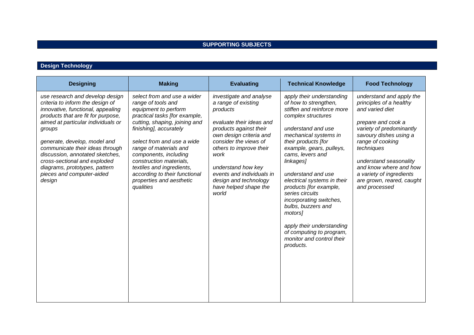## **SUPPORTING SUBJECTS**

# **Design Technology**

| <b>Designing</b>                                                                                                                                                                                                                                                                                                                                                                                             | <b>Making</b>                                                                                                                                                                                                                                                                                                                                                                            | <b>Evaluating</b>                                                                                                                                                                                                                                                                                                     | <b>Technical Knowledge</b>                                                                                                                                                                                                                                                                                                                                                                                                                                                                                 | <b>Food Technology</b>                                                                                                                                                                                                                                                                                             |
|--------------------------------------------------------------------------------------------------------------------------------------------------------------------------------------------------------------------------------------------------------------------------------------------------------------------------------------------------------------------------------------------------------------|------------------------------------------------------------------------------------------------------------------------------------------------------------------------------------------------------------------------------------------------------------------------------------------------------------------------------------------------------------------------------------------|-----------------------------------------------------------------------------------------------------------------------------------------------------------------------------------------------------------------------------------------------------------------------------------------------------------------------|------------------------------------------------------------------------------------------------------------------------------------------------------------------------------------------------------------------------------------------------------------------------------------------------------------------------------------------------------------------------------------------------------------------------------------------------------------------------------------------------------------|--------------------------------------------------------------------------------------------------------------------------------------------------------------------------------------------------------------------------------------------------------------------------------------------------------------------|
| use research and develop design<br>criteria to inform the design of<br>innovative, functional, appealing<br>products that are fit for purpose,<br>aimed at particular individuals or<br>groups<br>generate, develop, model and<br>communicate their ideas through<br>discussion, annotated sketches,<br>cross-sectional and exploded<br>diagrams, prototypes, pattern<br>pieces and computer-aided<br>design | select from and use a wider<br>range of tools and<br>equipment to perform<br>practical tasks [for example,<br>cutting, shaping, joining and<br>finishing], accurately<br>select from and use a wide<br>range of materials and<br>components, including<br>construction materials,<br>textiles and ingredients,<br>according to their functional<br>properties and aesthetic<br>qualities | investigate and analyse<br>a range of existing<br>products<br>evaluate their ideas and<br>products against their<br>own design criteria and<br>consider the views of<br>others to improve their<br>work<br>understand how key<br>events and individuals in<br>design and technology<br>have helped shape the<br>world | apply their understanding<br>of how to strengthen,<br>stiffen and reinforce more<br>complex structures<br>understand and use<br>mechanical systems in<br>their products [for<br>example, gears, pulleys,<br>cams, levers and<br>linkages]<br>understand and use<br>electrical systems in their<br>products [for example,<br>series circuits<br>incorporating switches,<br>bulbs, buzzers and<br>motors]<br>apply their understanding<br>of computing to program,<br>monitor and control their<br>products. | understand and apply the<br>principles of a healthy<br>and varied diet<br>prepare and cook a<br>variety of predominantly<br>savoury dishes using a<br>range of cooking<br>techniques<br>understand seasonality<br>and know where and how<br>a variety of ingredients<br>are grown, reared, caught<br>and processed |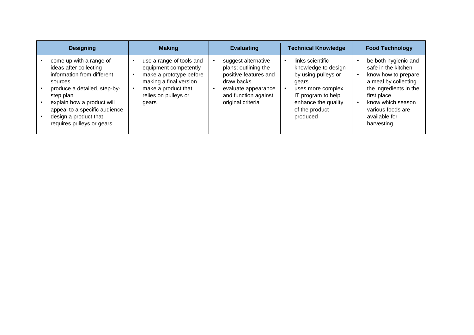| <b>Designing</b>                                                                                                                                                                                                                                             | <b>Making</b>                                                                                                                                                  | <b>Evaluating</b>                                                                                                                                      | <b>Technical Knowledge</b>                                                                                                                                              | <b>Food Technology</b>                                                                                                                                                                                       |
|--------------------------------------------------------------------------------------------------------------------------------------------------------------------------------------------------------------------------------------------------------------|----------------------------------------------------------------------------------------------------------------------------------------------------------------|--------------------------------------------------------------------------------------------------------------------------------------------------------|-------------------------------------------------------------------------------------------------------------------------------------------------------------------------|--------------------------------------------------------------------------------------------------------------------------------------------------------------------------------------------------------------|
| come up with a range of<br>ideas after collecting<br>information from different<br>sources<br>produce a detailed, step-by-<br>step plan<br>explain how a product will<br>appeal to a specific audience<br>design a product that<br>requires pulleys or gears | use a range of tools and<br>equipment competently<br>make a prototype before<br>making a final version<br>make a product that<br>relies on pulleys or<br>gears | suggest alternative<br>plans; outlining the<br>positive features and<br>draw backs<br>evaluate appearance<br>and function against<br>original criteria | links scientific<br>knowledge to design<br>by using pulleys or<br>gears<br>uses more complex<br>IT program to help<br>enhance the quality<br>of the product<br>produced | be both hygienic and<br>safe in the kitchen<br>know how to prepare<br>a meal by collecting<br>the ingredients in the<br>first place<br>know which season<br>various foods are<br>available for<br>harvesting |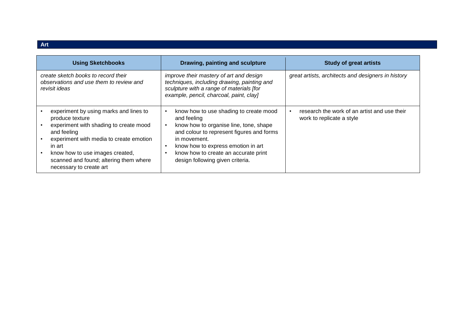| <b>Using Sketchbooks</b>                                                                                                                                                                                                                                                        | Drawing, painting and sculpture                                                                                                                                                                                                                                                | <b>Study of great artists</b>                                             |
|---------------------------------------------------------------------------------------------------------------------------------------------------------------------------------------------------------------------------------------------------------------------------------|--------------------------------------------------------------------------------------------------------------------------------------------------------------------------------------------------------------------------------------------------------------------------------|---------------------------------------------------------------------------|
| create sketch books to record their<br>observations and use them to review and<br>revisit ideas                                                                                                                                                                                 | improve their mastery of art and design<br>techniques, including drawing, painting and<br>sculpture with a range of materials [for<br>example, pencil, charcoal, paint, clay]                                                                                                  | great artists, architects and designers in history                        |
| experiment by using marks and lines to<br>produce texture<br>experiment with shading to create mood<br>and feeling<br>experiment with media to create emotion<br>in art<br>know how to use images created,<br>scanned and found; altering them where<br>necessary to create art | know how to use shading to create mood<br>and feeling<br>know how to organise line, tone, shape<br>and colour to represent figures and forms<br>in movement.<br>know how to express emotion in art<br>know how to create an accurate print<br>design following given criteria. | research the work of an artist and use their<br>work to replicate a style |

**Art**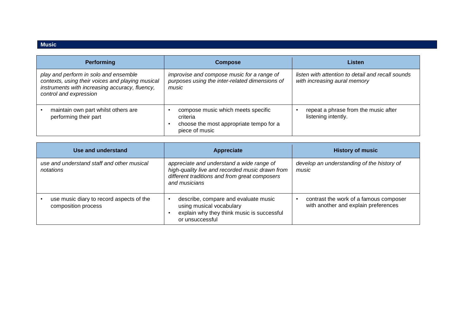#### **Music**

| <b>Performing</b>                                                                                                                                                     | <b>Compose</b>                                                                                              | Listen                                                                            |
|-----------------------------------------------------------------------------------------------------------------------------------------------------------------------|-------------------------------------------------------------------------------------------------------------|-----------------------------------------------------------------------------------|
| play and perform in solo and ensemble<br>contexts, using their voices and playing musical<br>instruments with increasing accuracy, fluency,<br>control and expression | improvise and compose music for a range of<br>purposes using the inter-related dimensions of<br>music       | listen with attention to detail and recall sounds<br>with increasing aural memory |
| maintain own part whilst others are<br>performing their part                                                                                                          | compose music which meets specific<br>criteria<br>choose the most appropriate tempo for a<br>piece of music | repeat a phrase from the music after<br>listening intently.                       |

| Use and understand                                              | Appreciate                                                                                                                                                     | <b>History of music</b>                                                        |
|-----------------------------------------------------------------|----------------------------------------------------------------------------------------------------------------------------------------------------------------|--------------------------------------------------------------------------------|
| use and understand staff and other musical<br>notations         | appreciate and understand a wide range of<br>high-quality live and recorded music drawn from<br>different traditions and from great composers<br>and musicians | develop an understanding of the history of<br>music                            |
| use music diary to record aspects of the<br>composition process | describe, compare and evaluate music<br>using musical vocabulary<br>explain why they think music is successful<br>or unsuccessful                              | contrast the work of a famous composer<br>with another and explain preferences |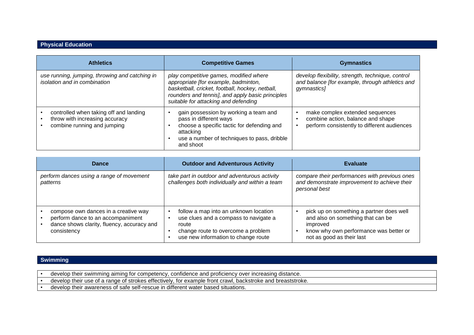#### **Physical Education**

| <b>Athletics</b>                                                                                        | <b>Competitive Games</b>                                                                                                                                                                                                      | <b>Gymnastics</b>                                                                                                   |
|---------------------------------------------------------------------------------------------------------|-------------------------------------------------------------------------------------------------------------------------------------------------------------------------------------------------------------------------------|---------------------------------------------------------------------------------------------------------------------|
| use running, jumping, throwing and catching in<br>isolation and in combination                          | play competitive games, modified where<br>appropriate [for example, badminton,<br>basketball, cricket, football, hockey, netball,<br>rounders and tennis], and apply basic principles<br>suitable for attacking and defending | develop flexibility, strength, technique, control<br>and balance [for example, through athletics and<br>gymnastics] |
| controlled when taking off and landing<br>throw with increasing accuracy<br>combine running and jumping | gain possession by working a team and<br>pass in different ways<br>choose a specific tactic for defending and<br>attacking<br>use a number of techniques to pass, dribble<br>and shoot                                        | make complex extended sequences<br>combine action, balance and shape<br>perform consistently to different audiences |

| Dance                                                                                                                                  | <b>Outdoor and Adventurous Activity</b>                                                                                                                              | <b>Evaluate</b>                                                                                                                                                  |
|----------------------------------------------------------------------------------------------------------------------------------------|----------------------------------------------------------------------------------------------------------------------------------------------------------------------|------------------------------------------------------------------------------------------------------------------------------------------------------------------|
| perform dances using a range of movement<br>patterns                                                                                   | take part in outdoor and adventurous activity<br>challenges both individually and within a team                                                                      | compare their performances with previous ones<br>and demonstrate improvement to achieve their<br>personal best                                                   |
| compose own dances in a creative way<br>perform dance to an accompaniment<br>dance shows clarity, fluency, accuracy and<br>consistency | follow a map into an unknown location<br>use clues and a compass to navigate a<br>route<br>change route to overcome a problem<br>use new information to change route | pick up on something a partner does well<br>and also on something that can be<br>improved<br>know why own performance was better or<br>not as good as their last |

#### **Swimming**

- develop their swimming aiming for competency, confidence and proficiency over increasing distance.
- develop their use of a range of strokes effectively, for example front crawl, backstroke and breaststroke.
- develop their awareness of safe self-rescue in different water based situations.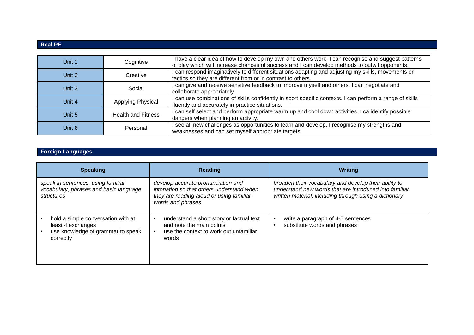## **Real PE**

| Unit 1 | Cognitive                 | I have a clear idea of how to develop my own and others work. I can recognise and suggest patterns<br>of play which will increase chances of success and I can develop methods to outwit opponents. |
|--------|---------------------------|-----------------------------------------------------------------------------------------------------------------------------------------------------------------------------------------------------|
| Unit 2 | Creative                  | can respond imaginatively to different situations adapting and adjusting my skills, movements or<br>tactics so they are different from or in contrast to others.                                    |
| Unit 3 | Social                    | can give and receive sensitive feedback to improve myself and others. I can negotiate and<br>collaborate appropriately.                                                                             |
| Unit 4 | Applying Physical         | can use combinations of skills confidently in sport specific contexts. I can perform a range of skills<br>fluently and accurately in practice situations.                                           |
| Unit 5 | <b>Health and Fitness</b> | can self select and perform appropriate warm up and cool down activities. I ca identify possible<br>dangers when planning an activity.                                                              |
| Unit 6 | Personal                  | see all new challenges as opportunities to learn and develop. I recognise my strengths and<br>weaknesses and can set myself appropriate targets.                                                    |

# **Foreign Languages**

| <b>Speaking</b>                                                                                           | Reading                                                                                                                                          | <b>Writing</b>                                                                                                                                                            |
|-----------------------------------------------------------------------------------------------------------|--------------------------------------------------------------------------------------------------------------------------------------------------|---------------------------------------------------------------------------------------------------------------------------------------------------------------------------|
| speak in sentences, using familiar<br>vocabulary, phrases and basic language<br>structures                | develop accurate pronunciation and<br>intonation so that others understand when<br>they are reading aloud or using familiar<br>words and phrases | broaden their vocabulary and develop their ability to<br>understand new words that are introduced into familiar<br>written material, including through using a dictionary |
| hold a simple conversation with at<br>least 4 exchanges<br>use knowledge of grammar to speak<br>correctly | understand a short story or factual text<br>and note the main points<br>use the context to work out unfamiliar<br>$\bullet$<br>words             | write a paragraph of 4-5 sentences<br>substitute words and phrases                                                                                                        |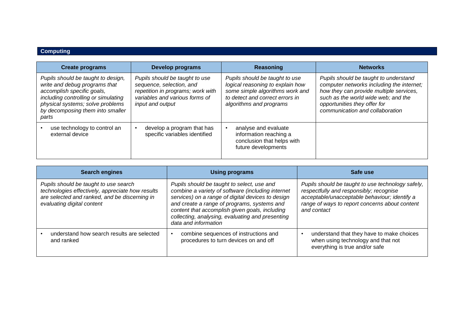# **Computing**

| <b>Create programs</b>                                                                                                                                                                                                    | Develop programs                                                                                                                                      | Reasoning                                                                                                                                                           | <b>Networks</b>                                                                                                                                                                                                                         |
|---------------------------------------------------------------------------------------------------------------------------------------------------------------------------------------------------------------------------|-------------------------------------------------------------------------------------------------------------------------------------------------------|---------------------------------------------------------------------------------------------------------------------------------------------------------------------|-----------------------------------------------------------------------------------------------------------------------------------------------------------------------------------------------------------------------------------------|
| Pupils should be taught to design,<br>write and debug programs that<br>accomplish specific goals,<br>including controlling or simulating<br>physical systems; solve problems<br>by decomposing them into smaller<br>parts | Pupils should be taught to use<br>sequence, selection, and<br>repetition in programs; work with<br>variables and various forms of<br>input and output | Pupils should be taught to use<br>logical reasoning to explain how<br>some simple algorithms work and<br>to detect and correct errors in<br>algorithms and programs | Pupils should be taught to understand<br>computer networks including the internet;<br>how they can provide multiple services,<br>such as the world wide web; and the<br>opportunities they offer for<br>communication and collaboration |
| use technology to control an<br>external device                                                                                                                                                                           | develop a program that has<br>specific variables identified                                                                                           | analyse and evaluate<br>information reaching a<br>conclusion that helps with<br>future developments                                                                 |                                                                                                                                                                                                                                         |

| <b>Search engines</b>                                                                                                                                                    | <b>Using programs</b>                                                                                                                                                                                                                                                                                                             | Safe use                                                                                                                                                                                                       |
|--------------------------------------------------------------------------------------------------------------------------------------------------------------------------|-----------------------------------------------------------------------------------------------------------------------------------------------------------------------------------------------------------------------------------------------------------------------------------------------------------------------------------|----------------------------------------------------------------------------------------------------------------------------------------------------------------------------------------------------------------|
| Pupils should be taught to use search<br>technologies effectively, appreciate how results<br>are selected and ranked, and be discerning in<br>evaluating digital content | Pupils should be taught to select, use and<br>combine a variety of software (including internet<br>services) on a range of digital devices to design<br>and create a range of programs, systems and<br>content that accomplish given goals, including<br>collecting, analysing, evaluating and presenting<br>data and information | Pupils should be taught to use technology safely,<br>respectfully and responsibly; recognise<br>acceptable/unacceptable behaviour; identify a<br>range of ways to report concerns about content<br>and contact |
| understand how search results are selected<br>and ranked                                                                                                                 | combine sequences of instructions and<br>procedures to turn devices on and off                                                                                                                                                                                                                                                    | understand that they have to make choices<br>when using technology and that not<br>everything is true and/or safe                                                                                              |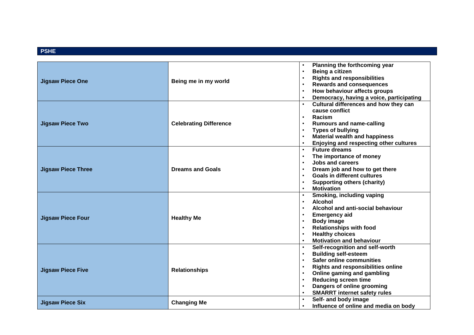#### **PSHE**

|                           |                                                                                    | Planning the forthcoming year<br>$\bullet$                                                                                                                                                                                                                                                                                                                                                                                                                                                                                                                                                                                                                                                                                                                                                                                                                                                                                             |
|---------------------------|------------------------------------------------------------------------------------|----------------------------------------------------------------------------------------------------------------------------------------------------------------------------------------------------------------------------------------------------------------------------------------------------------------------------------------------------------------------------------------------------------------------------------------------------------------------------------------------------------------------------------------------------------------------------------------------------------------------------------------------------------------------------------------------------------------------------------------------------------------------------------------------------------------------------------------------------------------------------------------------------------------------------------------|
| <b>Jigsaw Piece One</b>   |                                                                                    | Being a citizen<br>$\bullet$                                                                                                                                                                                                                                                                                                                                                                                                                                                                                                                                                                                                                                                                                                                                                                                                                                                                                                           |
|                           | Being me in my world                                                               | <b>Rights and responsibilities</b><br>$\bullet$                                                                                                                                                                                                                                                                                                                                                                                                                                                                                                                                                                                                                                                                                                                                                                                                                                                                                        |
|                           |                                                                                    | <b>Rewards and consequences</b>                                                                                                                                                                                                                                                                                                                                                                                                                                                                                                                                                                                                                                                                                                                                                                                                                                                                                                        |
|                           |                                                                                    | How behaviour affects groups                                                                                                                                                                                                                                                                                                                                                                                                                                                                                                                                                                                                                                                                                                                                                                                                                                                                                                           |
|                           |                                                                                    |                                                                                                                                                                                                                                                                                                                                                                                                                                                                                                                                                                                                                                                                                                                                                                                                                                                                                                                                        |
|                           | <b>Celebrating Difference</b>                                                      |                                                                                                                                                                                                                                                                                                                                                                                                                                                                                                                                                                                                                                                                                                                                                                                                                                                                                                                                        |
|                           |                                                                                    | $\bullet$                                                                                                                                                                                                                                                                                                                                                                                                                                                                                                                                                                                                                                                                                                                                                                                                                                                                                                                              |
| <b>Jigsaw Piece Two</b>   |                                                                                    |                                                                                                                                                                                                                                                                                                                                                                                                                                                                                                                                                                                                                                                                                                                                                                                                                                                                                                                                        |
|                           |                                                                                    |                                                                                                                                                                                                                                                                                                                                                                                                                                                                                                                                                                                                                                                                                                                                                                                                                                                                                                                                        |
|                           |                                                                                    |                                                                                                                                                                                                                                                                                                                                                                                                                                                                                                                                                                                                                                                                                                                                                                                                                                                                                                                                        |
|                           |                                                                                    |                                                                                                                                                                                                                                                                                                                                                                                                                                                                                                                                                                                                                                                                                                                                                                                                                                                                                                                                        |
|                           |                                                                                    | <b>Future dreams</b><br>$\bullet$                                                                                                                                                                                                                                                                                                                                                                                                                                                                                                                                                                                                                                                                                                                                                                                                                                                                                                      |
|                           |                                                                                    | The importance of money<br>$\bullet$                                                                                                                                                                                                                                                                                                                                                                                                                                                                                                                                                                                                                                                                                                                                                                                                                                                                                                   |
|                           |                                                                                    | Jobs and careers                                                                                                                                                                                                                                                                                                                                                                                                                                                                                                                                                                                                                                                                                                                                                                                                                                                                                                                       |
| <b>Jigsaw Piece Three</b> | <b>Dreams and Goals</b>                                                            | Dream job and how to get there                                                                                                                                                                                                                                                                                                                                                                                                                                                                                                                                                                                                                                                                                                                                                                                                                                                                                                         |
|                           |                                                                                    |                                                                                                                                                                                                                                                                                                                                                                                                                                                                                                                                                                                                                                                                                                                                                                                                                                                                                                                                        |
|                           |                                                                                    |                                                                                                                                                                                                                                                                                                                                                                                                                                                                                                                                                                                                                                                                                                                                                                                                                                                                                                                                        |
|                           |                                                                                    | $\bullet$                                                                                                                                                                                                                                                                                                                                                                                                                                                                                                                                                                                                                                                                                                                                                                                                                                                                                                                              |
|                           |                                                                                    |                                                                                                                                                                                                                                                                                                                                                                                                                                                                                                                                                                                                                                                                                                                                                                                                                                                                                                                                        |
|                           |                                                                                    |                                                                                                                                                                                                                                                                                                                                                                                                                                                                                                                                                                                                                                                                                                                                                                                                                                                                                                                                        |
|                           |                                                                                    | $\bullet$                                                                                                                                                                                                                                                                                                                                                                                                                                                                                                                                                                                                                                                                                                                                                                                                                                                                                                                              |
| <b>Jigsaw Piece Four</b>  |                                                                                    |                                                                                                                                                                                                                                                                                                                                                                                                                                                                                                                                                                                                                                                                                                                                                                                                                                                                                                                                        |
|                           |                                                                                    |                                                                                                                                                                                                                                                                                                                                                                                                                                                                                                                                                                                                                                                                                                                                                                                                                                                                                                                                        |
|                           |                                                                                    | Democracy, having a voice, participating<br>Cultural differences and how they can<br>cause conflict<br>Racism<br><b>Rumours and name-calling</b><br><b>Types of bullying</b><br><b>Material wealth and happiness</b><br>Enjoying and respecting other cultures<br>Goals in different cultures<br><b>Supporting others (charity)</b><br><b>Motivation</b><br>Smoking, including vaping<br>Alcohol<br>Alcohol and anti-social behaviour<br><b>Emergency aid</b><br><b>Body image</b><br><b>Relationships with food</b><br><b>Healthy choices</b><br><b>Motivation and behaviour</b><br>Self-recognition and self-worth<br><b>Building self-esteem</b><br><b>Safer online communities</b><br><b>Rights and responsibilities online</b><br>Online gaming and gambling<br><b>Reducing screen time</b><br>Dangers of online grooming<br><b>SMARRT internet safety rules</b><br>Self- and body image<br>Influence of online and media on body |
|                           | $\bullet$<br>$\bullet$<br><b>Healthy Me</b><br>$\bullet$<br>$\bullet$<br>$\bullet$ |                                                                                                                                                                                                                                                                                                                                                                                                                                                                                                                                                                                                                                                                                                                                                                                                                                                                                                                                        |
|                           |                                                                                    |                                                                                                                                                                                                                                                                                                                                                                                                                                                                                                                                                                                                                                                                                                                                                                                                                                                                                                                                        |
| <b>Jigsaw Piece Five</b>  |                                                                                    | $\bullet$                                                                                                                                                                                                                                                                                                                                                                                                                                                                                                                                                                                                                                                                                                                                                                                                                                                                                                                              |
|                           |                                                                                    | $\bullet$                                                                                                                                                                                                                                                                                                                                                                                                                                                                                                                                                                                                                                                                                                                                                                                                                                                                                                                              |
|                           |                                                                                    | $\bullet$                                                                                                                                                                                                                                                                                                                                                                                                                                                                                                                                                                                                                                                                                                                                                                                                                                                                                                                              |
|                           | <b>Relationships</b>                                                               | $\bullet$                                                                                                                                                                                                                                                                                                                                                                                                                                                                                                                                                                                                                                                                                                                                                                                                                                                                                                                              |
|                           |                                                                                    |                                                                                                                                                                                                                                                                                                                                                                                                                                                                                                                                                                                                                                                                                                                                                                                                                                                                                                                                        |
|                           |                                                                                    | $\bullet$                                                                                                                                                                                                                                                                                                                                                                                                                                                                                                                                                                                                                                                                                                                                                                                                                                                                                                                              |
|                           |                                                                                    |                                                                                                                                                                                                                                                                                                                                                                                                                                                                                                                                                                                                                                                                                                                                                                                                                                                                                                                                        |
|                           |                                                                                    | $\bullet$                                                                                                                                                                                                                                                                                                                                                                                                                                                                                                                                                                                                                                                                                                                                                                                                                                                                                                                              |
| <b>Jigsaw Piece Six</b>   | <b>Changing Me</b>                                                                 | $\bullet$                                                                                                                                                                                                                                                                                                                                                                                                                                                                                                                                                                                                                                                                                                                                                                                                                                                                                                                              |
|                           |                                                                                    |                                                                                                                                                                                                                                                                                                                                                                                                                                                                                                                                                                                                                                                                                                                                                                                                                                                                                                                                        |